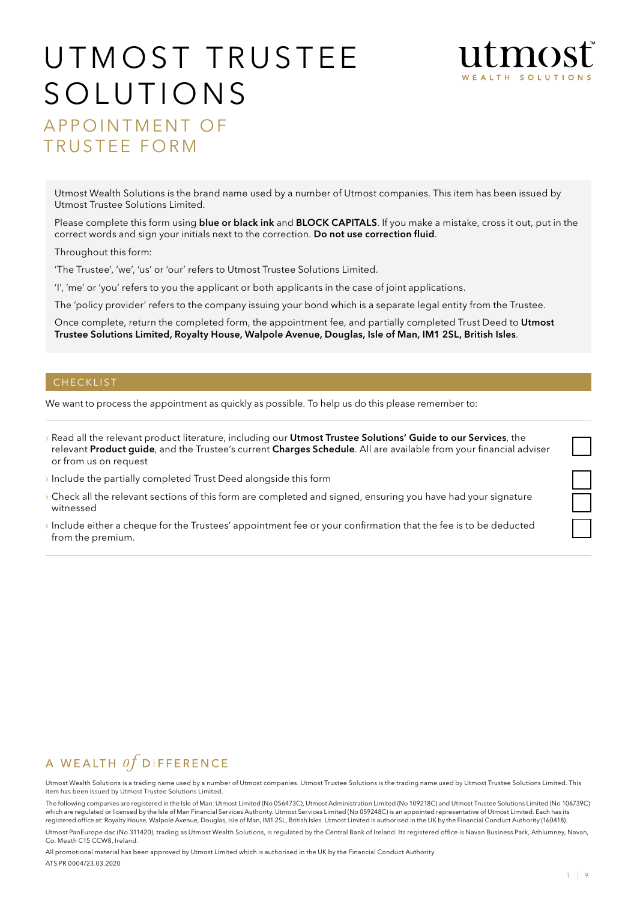

# UTMOST TRUSTEE SOLUTIONS

A pp o intment o f TRUSTEE FORM

Utmost Wealth Solutions is the brand name used by a number of Utmost companies. This item has been issued by Utmost Trustee Solutions Limited.

Please complete this form using blue or black ink and BLOCK CAPITALS. If you make a mistake, cross it out, put in the correct words and sign your initials next to the correction. Do not use correction fluid.

Throughout this form:

'The Trustee', 'we', 'us' or 'our' refers to Utmost Trustee Solutions Limited.

'I', 'me' or 'you' refers to you the applicant or both applicants in the case of joint applications.

The 'policy provider' refers to the company issuing your bond which is a separate legal entity from the Trustee.

Once complete, return the completed form, the appointment fee, and partially completed Trust Deed to Utmost Trustee Solutions Limited, Royalty House, Walpole Avenue, Douglas, Isle of Man, IM1 2SL, British Isles.

#### **CHECKLIST**

We want to process the appointment as quickly as possible. To help us do this please remember to:

- › Read all the relevant product literature, including our Utmost Trustee Solutions' Guide to our Services, the relevant Product guide, and the Trustee's current Charges Schedule. All are available from your financial adviser or from us on request
- › Include the partially completed Trust Deed alongside this form
- › Check all the relevant sections of this form are completed and signed, ensuring you have had your signature witnessed
- › Include either a cheque for the Trustees' appointment fee or your confirmation that the fee is to be deducted from the premium.

# A WEALTH  $of$  DIFFERENCE

Utmost Wealth Solutions is a trading name used by a number of Utmost companies. Utmost Trustee Solutions is the trading name used by Utmost Trustee Solutions Limited. This item has been issued by Utmost Trustee Solutions Limited.

The following companies are registered in the Isle of Man: Utmost Limited (No 056473C), Utmost Administration Limited (No 109218C) and Utmost Trustee Solutions Limited (No 106739C) which are regulated or licensed by the Isle of Man Financial Services Authority. Utmost Services Limited (No 059248C) is an appointed representative of Utmost Limited. Each has its registered office at: Royalty House, Walpole Avenue, Douglas, Isle of Man, IM1 2SL, British Isles. Utmost Limited is authorised in the UK by the Financial Conduct Authority (160418). Utmost PanEurope dac (No 311420), trading as Utmost Wealth Solutions, is regulated by the Central Bank of Ireland. Its registered office is Navan Business Park, Athlumney, Navan, Co. Meath C15 CCW8, Ireland.

All promotional material has been approved by Utmost Limited which is authorised in the UK by the Financial Conduct Authority. ATS PR 0004/23.03.2020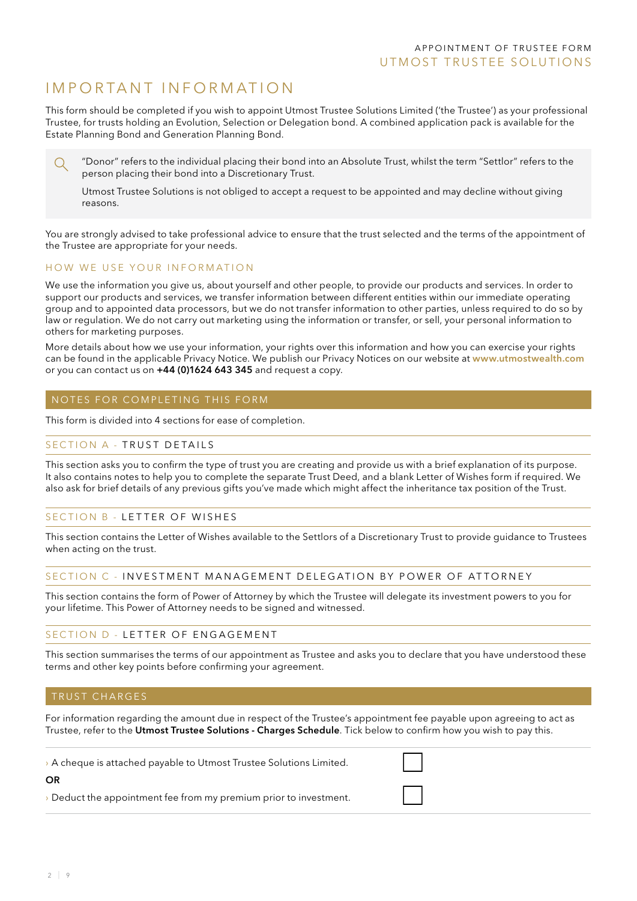# I mp o rtant I nf o rmati o n

This form should be completed if you wish to appoint Utmost Trustee Solutions Limited ('the Trustee') as your professional Trustee, for trusts holding an Evolution, Selection or Delegation bond. A combined application pack is available for the Estate Planning Bond and Generation Planning Bond.

"Donor" refers to the individual placing their bond into an Absolute Trust, whilst the term "Settlor" refers to the O person placing their bond into a Discretionary Trust.

Utmost Trustee Solutions is not obliged to accept a request to be appointed and may decline without giving reasons.

You are strongly advised to take professional advice to ensure that the trust selected and the terms of the appointment of the Trustee are appropriate for your needs.

#### HOW WE USE YOUR INFORMATION

We use the information you give us, about yourself and other people, to provide our products and services. In order to support our products and services, we transfer information between different entities within our immediate operating group and to appointed data processors, but we do not transfer information to other parties, unless required to do so by law or regulation. We do not carry out marketing using the information or transfer, or sell, your personal information to others for marketing purposes.

More details about how we use your information, your rights over this information and how you can exercise your rights can be found in the applicable Privacy Notice. We publish our Privacy Notices on our website at www.utmostwealth.com or you can contact us on +44 (0)1624 643 345 and request a copy.

#### NOTES FOR COMPLETING THIS FORM

This form is divided into 4 sections for ease of completion.

#### SECTION A - TRUST DETAILS

This section asks you to confirm the type of trust you are creating and provide us with a brief explanation of its purpose. It also contains notes to help you to complete the separate Trust Deed, and a blank Letter of Wishes form if required. We also ask for brief details of any previous gifts you've made which might affect the inheritance tax position of the Trust.

#### SECTION B - LETTER OF WISHES

This section contains the Letter of Wishes available to the Settlors of a Discretionary Trust to provide guidance to Trustees when acting on the trust.

#### SECTION C - INVESTMENT MANAGEMENT DELEGATION BY POWER OF ATTORNEY

This section contains the form of Power of Attorney by which the Trustee will delegate its investment powers to you for your lifetime. This Power of Attorney needs to be signed and witnessed.

#### SECTION D - LETTER OF ENGAGEMENT

This section summarises the terms of our appointment as Trustee and asks you to declare that you have understood these terms and other key points before confirming your agreement.

#### TRUST CHARGES

For information regarding the amount due in respect of the Trustee's appointment fee payable upon agreeing to act as Trustee, refer to the Utmost Trustee Solutions - Charges Schedule. Tick below to confirm how you wish to pay this.

› A cheque is attached payable to Utmost Trustee Solutions Limited.

#### OR

› Deduct the appointment fee from my premium prior to investment.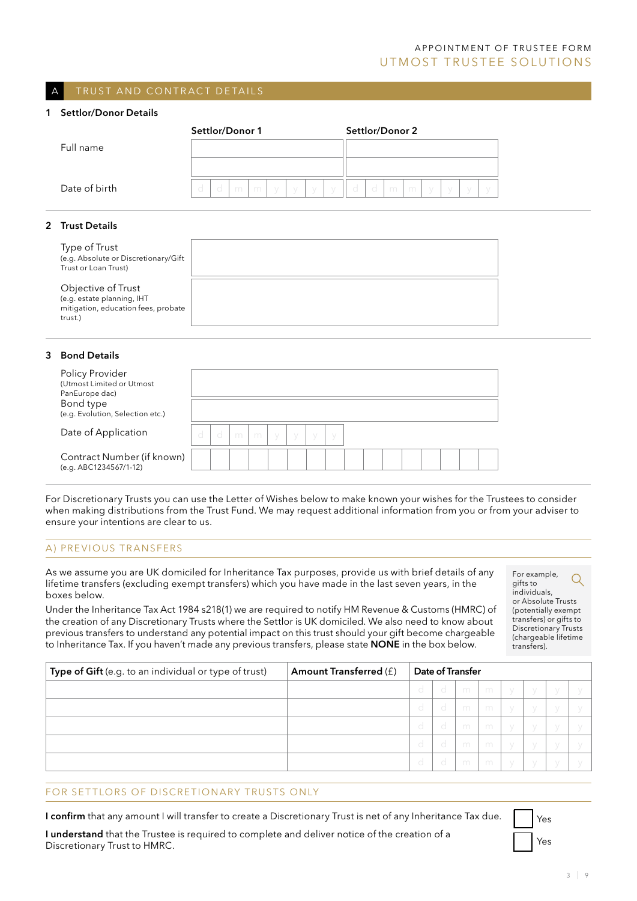## A PP OINTMENT OF TRUSTEE FORM UTMOST TRUSTEE SOLUTIONS

#### TRUST AND CONTRACT DETAILS

#### 1 Settlor/Donor Details

|                 | Settlor/Donor 1                                | Settlor/Donor 2                                            |
|-----------------|------------------------------------------------|------------------------------------------------------------|
| Full name       |                                                |                                                            |
|                 |                                                |                                                            |
| Date of birth   | d<br>d<br>m<br>m<br>$\vee$<br>$\vee$<br>$\vee$ | d<br>d<br>m I<br>m<br>- y<br>У<br>$\sqrt{}$<br>y<br>$\vee$ |
|                 |                                                |                                                            |
| 2 Trust Details |                                                |                                                            |

#### Type of Trust (e.g. Absolute or Discretionary/Gift Trust or Loan Trust)

Objective of Trust (e.g. estate planning, IHT mitigation, education fees, probate trust.)

#### 3 Bond Details

| Policy Provider<br>(Utmost Limited or Utmost<br>PanEurope dac)<br>Bond type<br>(e.g. Evolution, Selection etc.) |     |   |   |           |  |  |  |  |  |
|-----------------------------------------------------------------------------------------------------------------|-----|---|---|-----------|--|--|--|--|--|
| Date of Application                                                                                             | -cl | m | m | $\sqrt{}$ |  |  |  |  |  |
| Contract Number (if known)<br>(e.g. ABC1234567/1-12)                                                            |     |   |   |           |  |  |  |  |  |

For Discretionary Trusts you can use the Letter of Wishes below to make known your wishes for the Trustees to consider when making distributions from the Trust Fund. We may request additional information from you or from your adviser to ensure your intentions are clear to us.

#### A) Previous Transfers

As we assume you are UK domiciled for Inheritance Tax purposes, provide us with brief details of any lifetime transfers (excluding exempt transfers) which you have made in the last seven years, in the boxes below.

Under the Inheritance Tax Act 1984 s218(1) we are required to notify HM Revenue & Customs (HMRC) of the creation of any Discretionary Trusts where the Settlor is UK domiciled. We also need to know about previous transfers to understand any potential impact on this trust should your gift become chargeable to Inheritance Tax. If you haven't made any previous transfers, please state **NONE** in the box below.

For example, Q gifts to individuals, or Absolute Trusts (potentially exempt transfers) or gifts to Discretionary Trusts (chargeable lifetime transfers).

| Type of Gift (e.g. to an individual or type of trust) | Amount Transferred (f) |         |           | <b>Date of Transfer</b> |              |                                  |           |  |
|-------------------------------------------------------|------------------------|---------|-----------|-------------------------|--------------|----------------------------------|-----------|--|
|                                                       |                        | $\circ$ | $\circ$   |                         |              | $\lceil m \rceil m$ $y \rceil y$ | $\vee$    |  |
|                                                       |                        | d       | $+d^{-1}$ | m                       | $\mathsf{m}$ | $\sqrt{}$                        |           |  |
|                                                       |                        | d       | - d       | m m                     | m            | $\sqrt{}$                        | $\sqrt{}$ |  |
|                                                       |                        | d       | - d       | m m                     | m            | $\vee$                           | $\sqrt{}$ |  |
|                                                       |                        | $\circ$ | - d       | m                       | - m          | $\vee$                           |           |  |

#### For Settlors of Discretionary Trusts only

I confirm that any amount I will transfer to create a Discretionary Trust is net of any Inheritance Tax due.

I understand that the Trustee is required to complete and deliver notice of the creation of a Discretionary Trust to HMRC.

Yes

Yes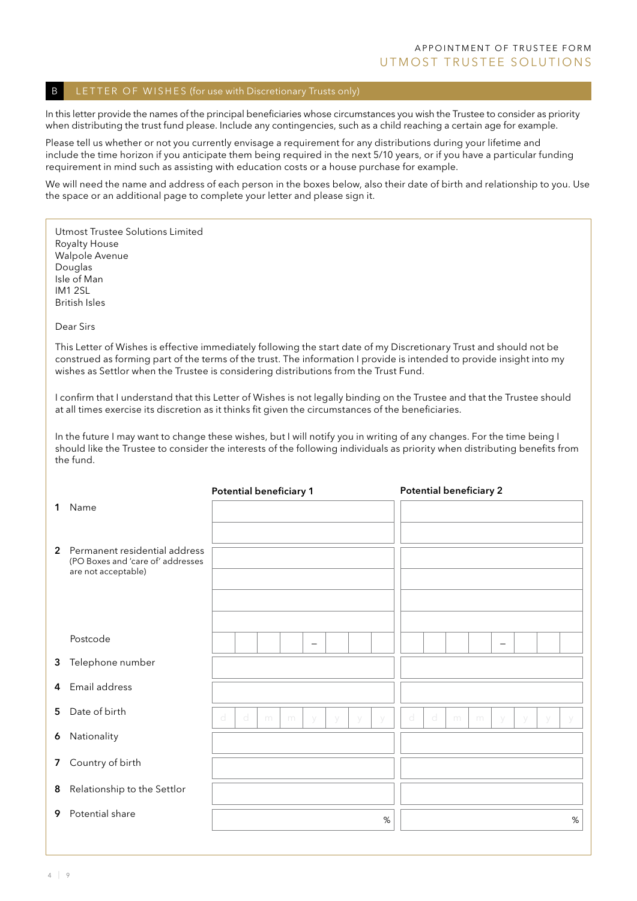#### B LETTER OF WISHES (for use with Discretionary Trusts only)

In this letter provide the names of the principal beneficiaries whose circumstances you wish the Trustee to consider as priority when distributing the trust fund please. Include any contingencies, such as a child reaching a certain age for example.

Please tell us whether or not you currently envisage a requirement for any distributions during your lifetime and include the time horizon if you anticipate them being required in the next 5/10 years, or if you have a particular funding requirement in mind such as assisting with education costs or a house purchase for example.

We will need the name and address of each person in the boxes below, also their date of birth and relationship to you. Use the space or an additional page to complete your letter and please sign it.

Utmost Trustee Solutions Limited Royalty House Walpole Avenue Douglas Isle of Man IM1 2SL British Isles

Dear Sirs

This Letter of Wishes is effective immediately following the start date of my Discretionary Trust and should not be construed as forming part of the terms of the trust. The information I provide is intended to provide insight into my wishes as Settlor when the Trustee is considering distributions from the Trust Fund.

I confirm that I understand that this Letter of Wishes is not legally binding on the Trustee and that the Trustee should at all times exercise its discretion as it thinks fit given the circumstances of the beneficiaries.

In the future I may want to change these wishes, but I will notify you in writing of any changes. For the time being I should like the Trustee to consider the interests of the following individuals as priority when distributing benefits from the fund.

|   |                                                                                             | <b>Potential beneficiary 1</b> |   |   |   |                          |   |        |   |   | <b>Potential beneficiary 2</b> |   |   |                 |   |   |      |
|---|---------------------------------------------------------------------------------------------|--------------------------------|---|---|---|--------------------------|---|--------|---|---|--------------------------------|---|---|-----------------|---|---|------|
| 1 | Name                                                                                        |                                |   |   |   |                          |   |        |   |   |                                |   |   |                 |   |   |      |
|   | 2 Permanent residential address<br>(PO Boxes and 'care of' addresses<br>are not acceptable) |                                |   |   |   |                          |   |        |   |   |                                |   |   |                 |   |   |      |
|   | Postcode                                                                                    |                                |   |   |   | $\overline{\phantom{0}}$ |   |        |   |   |                                |   |   | $\qquad \qquad$ |   |   |      |
|   | 3 Telephone number                                                                          |                                |   |   |   |                          |   |        |   |   |                                |   |   |                 |   |   |      |
|   | 4 Email address                                                                             |                                |   |   |   |                          |   |        |   |   |                                |   |   |                 |   |   |      |
|   | 5 Date of birth                                                                             | $\mathbb{d}$                   | d | m | m | V                        | V | $\vee$ | V | d | d                              | m | m | V               | y | y | V    |
| 6 | Nationality                                                                                 |                                |   |   |   |                          |   |        |   |   |                                |   |   |                 |   |   |      |
|   | 7 Country of birth                                                                          |                                |   |   |   |                          |   |        |   |   |                                |   |   |                 |   |   |      |
| 8 | Relationship to the Settlor                                                                 |                                |   |   |   |                          |   |        |   |   |                                |   |   |                 |   |   |      |
| 9 | Potential share                                                                             |                                |   |   |   |                          |   |        | % |   |                                |   |   |                 |   |   | $\%$ |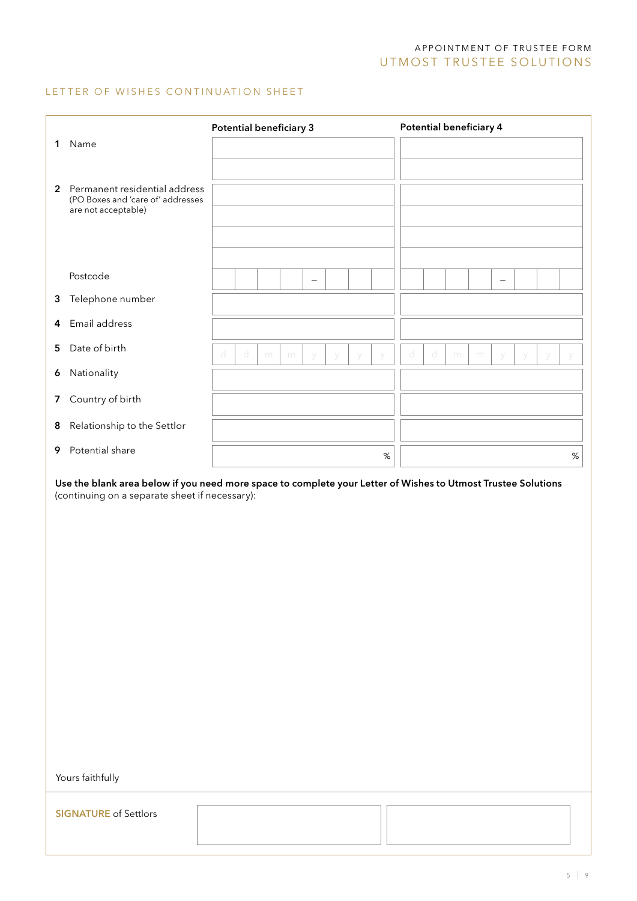## A PP O IN T MENT OF TRUSTEE FORM UTM OST TRUSTEE SOLUTIONS

#### LETTER OF WISHES CONTINUATION SHEET

|                |                                                                                                               | <b>Potential beneficiary 3</b> |   |   |   |                          |        |      |   | Potential beneficiary 4 |   |   |                          |        |        |   |
|----------------|---------------------------------------------------------------------------------------------------------------|--------------------------------|---|---|---|--------------------------|--------|------|---|-------------------------|---|---|--------------------------|--------|--------|---|
| 1              | Name                                                                                                          |                                |   |   |   |                          |        |      |   |                         |   |   |                          |        |        |   |
|                |                                                                                                               |                                |   |   |   |                          |        |      |   |                         |   |   |                          |        |        |   |
| $\overline{2}$ | Permanent residential address<br>(PO Boxes and 'care of' addresses<br>are not acceptable)                     |                                |   |   |   |                          |        |      |   |                         |   |   |                          |        |        |   |
|                |                                                                                                               |                                |   |   |   |                          |        |      |   |                         |   |   |                          |        |        |   |
|                |                                                                                                               |                                |   |   |   |                          |        |      |   |                         |   |   |                          |        |        |   |
|                | Postcode                                                                                                      |                                |   |   |   | $\overline{\phantom{0}}$ |        |      |   |                         |   |   | $\overline{\phantom{0}}$ |        |        |   |
| 3              | Telephone number                                                                                              |                                |   |   |   |                          |        |      |   |                         |   |   |                          |        |        |   |
| 4              | Email address                                                                                                 |                                |   |   |   |                          |        |      |   |                         |   |   |                          |        |        |   |
| 5              | Date of birth                                                                                                 | d                              | d | m | m | $\vee$                   | $\vee$ | y    | d | d                       | m | m |                          | $\vee$ | $\vee$ | У |
| 6              | Nationality                                                                                                   |                                |   |   |   |                          |        |      |   |                         |   |   |                          |        |        |   |
| $\overline{7}$ | Country of birth                                                                                              |                                |   |   |   |                          |        |      |   |                         |   |   |                          |        |        |   |
| 8              | Relationship to the Settlor                                                                                   |                                |   |   |   |                          |        |      |   |                         |   |   |                          |        |        |   |
| 9              | Potential share                                                                                               |                                |   |   |   |                          |        | $\%$ |   |                         |   |   |                          |        |        | % |
|                | Use the blank area helow if you need more space to complete your Letter of Wishes to Utmost Trustee Solutions |                                |   |   |   |                          |        |      |   |                         |   |   |                          |        |        |   |

Use the blank area below if you need more space to complete your Letter of Wishes to Utmost Trustee Solutions (continuing on a separate sheet if necessary):

Yours faithfully

**SIGNATURE** of Settlors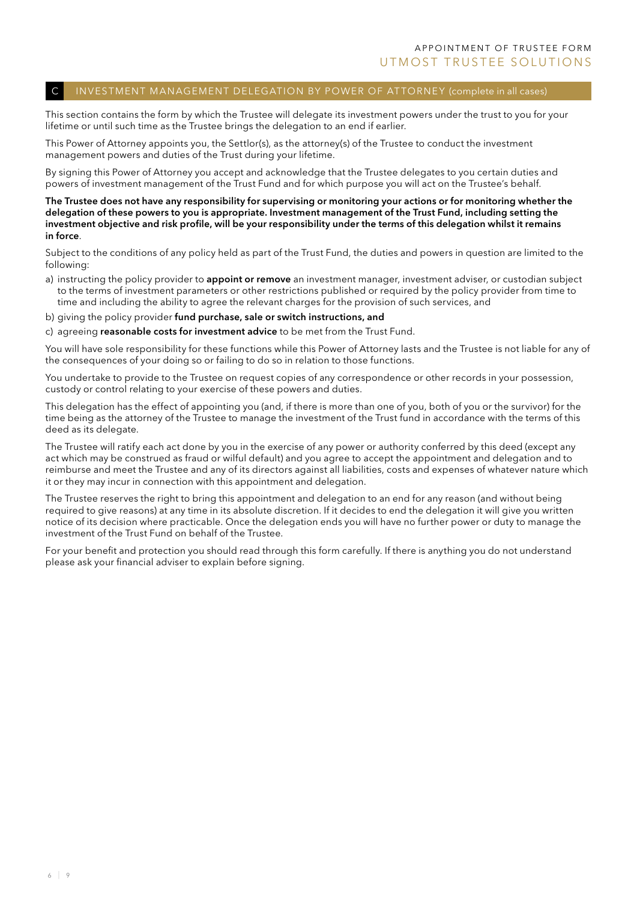#### INVESTMENT MANAGEMENT DELEGATION BY POWER OF ATTORNEY (complete in all cases)

This section contains the form by which the Trustee will delegate its investment powers under the trust to you for your lifetime or until such time as the Trustee brings the delegation to an end if earlier.

This Power of Attorney appoints you, the Settlor(s), as the attorney(s) of the Trustee to conduct the investment management powers and duties of the Trust during your lifetime.

By signing this Power of Attorney you accept and acknowledge that the Trustee delegates to you certain duties and powers of investment management of the Trust Fund and for which purpose you will act on the Trustee's behalf.

The Trustee does not have any responsibility for supervising or monitoring your actions or for monitoring whether the delegation of these powers to you is appropriate. Investment management of the Trust Fund, including setting the investment objective and risk profile, will be your responsibility under the terms of this delegation whilst it remains in force.

Subject to the conditions of any policy held as part of the Trust Fund, the duties and powers in question are limited to the following:

- a) instructing the policy provider to **appoint or remove** an investment manager, investment adviser, or custodian subject to the terms of investment parameters or other restrictions published or required by the policy provider from time to time and including the ability to agree the relevant charges for the provision of such services, and
- b) giving the policy provider fund purchase, sale or switch instructions, and
- c) agreeing reasonable costs for investment advice to be met from the Trust Fund.

You will have sole responsibility for these functions while this Power of Attorney lasts and the Trustee is not liable for any of the consequences of your doing so or failing to do so in relation to those functions.

You undertake to provide to the Trustee on request copies of any correspondence or other records in your possession, custody or control relating to your exercise of these powers and duties.

This delegation has the effect of appointing you (and, if there is more than one of you, both of you or the survivor) for the time being as the attorney of the Trustee to manage the investment of the Trust fund in accordance with the terms of this deed as its delegate.

The Trustee will ratify each act done by you in the exercise of any power or authority conferred by this deed (except any act which may be construed as fraud or wilful default) and you agree to accept the appointment and delegation and to reimburse and meet the Trustee and any of its directors against all liabilities, costs and expenses of whatever nature which it or they may incur in connection with this appointment and delegation.

The Trustee reserves the right to bring this appointment and delegation to an end for any reason (and without being required to give reasons) at any time in its absolute discretion. If it decides to end the delegation it will give you written notice of its decision where practicable. Once the delegation ends you will have no further power or duty to manage the investment of the Trust Fund on behalf of the Trustee.

For your benefit and protection you should read through this form carefully. If there is anything you do not understand please ask your financial adviser to explain before signing.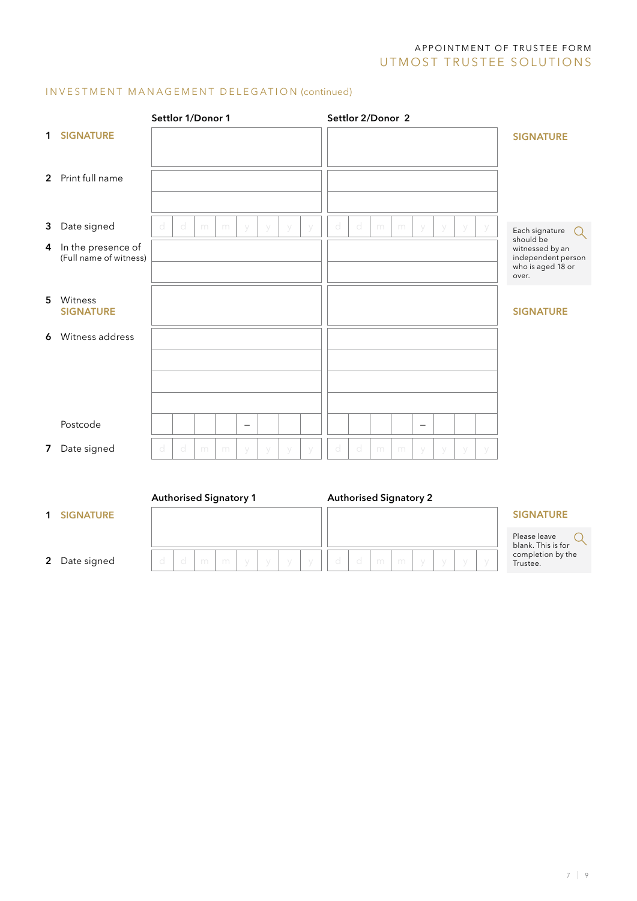# A PP O IN T MENT OF TRUSTEE FORM UTM OST TRUSTEE SOLUTIONS

## INVESTMENT MANAGEMENT DELEGATION (continued)

|                |                                                | Settlor 1/Donor 1             |   |   |   |                   |  | Settlor 2/Donor 2 |   |   |                               |                          |   |        |                                                                                  |  |
|----------------|------------------------------------------------|-------------------------------|---|---|---|-------------------|--|-------------------|---|---|-------------------------------|--------------------------|---|--------|----------------------------------------------------------------------------------|--|
| 1              | <b>SIGNATURE</b>                               |                               |   |   |   |                   |  |                   |   |   |                               |                          |   |        | <b>SIGNATURE</b>                                                                 |  |
|                | 2 Print full name                              |                               |   |   |   |                   |  |                   |   |   |                               |                          |   |        |                                                                                  |  |
| 3              | Date signed                                    | d                             | d | m | m | $\vee$            |  | d                 | d | m | m                             | $\vee$                   |   |        | Each signature<br>$\left( \ \right)$                                             |  |
|                | 4 In the presence of<br>(Full name of witness) |                               |   |   |   |                   |  |                   |   |   |                               |                          |   |        | should be<br>witnessed by an<br>independent person<br>who is aged 18 or<br>over. |  |
| 5              | Witness<br><b>SIGNATURE</b>                    |                               |   |   |   |                   |  |                   |   |   |                               |                          |   |        | <b>SIGNATURE</b>                                                                 |  |
| 6              | Witness address                                |                               |   |   |   |                   |  |                   |   |   |                               |                          |   |        |                                                                                  |  |
|                | Postcode                                       |                               |   |   |   | $\qquad \qquad -$ |  |                   |   |   |                               | $\overline{\phantom{0}}$ |   |        |                                                                                  |  |
| 7 <sup>7</sup> | Date signed                                    | d                             | d | m | m | $\vee$            |  | d                 | d | m | m                             | V                        | V | $\vee$ |                                                                                  |  |
|                |                                                | <b>Authorised Signatory 1</b> |   |   |   |                   |  |                   |   |   | <b>Authorised Signatory 2</b> |                          |   |        |                                                                                  |  |
| 1              | <b>SIGNATURE</b>                               |                               |   |   |   |                   |  |                   |   |   |                               |                          |   |        | <b>SIGNATURE</b>                                                                 |  |

| $2^{\circ}$ | Date signed |
|-------------|-------------|

| $\mathbf{H} \times \mathbf{C} \rightarrow \mathbf{C}$ |  |  |  | m m y y y y d d m m y y |  |  |  |  |
|-------------------------------------------------------|--|--|--|-------------------------|--|--|--|--|

#### **SIGNATURE**

| Please leave       |  |
|--------------------|--|
| blank. This is for |  |
| completion by the  |  |
| Trustee.           |  |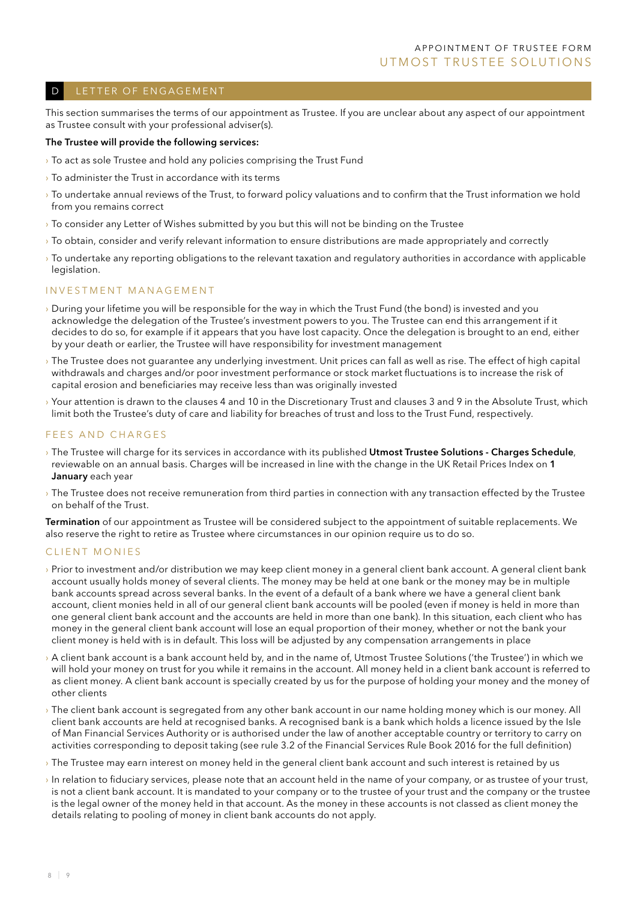#### D LETTER OF ENGAGEMENT

This section summarises the terms of our appointment as Trustee. If you are unclear about any aspect of our appointment as Trustee consult with your professional adviser(s).

#### The Trustee will provide the following services:

- $\rightarrow$  To act as sole Trustee and hold any policies comprising the Trust Fund
- $\rightarrow$  To administer the Trust in accordance with its terms
- › To undertake annual reviews of the Trust, to forward policy valuations and to confirm that the Trust information we hold from you remains correct
- › To consider any Letter of Wishes submitted by you but this will not be binding on the Trustee
- › To obtain, consider and verify relevant information to ensure distributions are made appropriately and correctly
- › To undertake any reporting obligations to the relevant taxation and regulatory authorities in accordance with applicable legislation.

#### INVESTMENT MANAGEMENT

- › During your lifetime you will be responsible for the way in which the Trust Fund (the bond) is invested and you acknowledge the delegation of the Trustee's investment powers to you. The Trustee can end this arrangement if it decides to do so, for example if it appears that you have lost capacity. Once the delegation is brought to an end, either by your death or earlier, the Trustee will have responsibility for investment management
- › The Trustee does not guarantee any underlying investment. Unit prices can fall as well as rise. The effect of high capital withdrawals and charges and/or poor investment performance or stock market fluctuations is to increase the risk of capital erosion and beneficiaries may receive less than was originally invested
- › Your attention is drawn to the clauses 4 and 10 in the Discretionary Trust and clauses 3 and 9 in the Absolute Trust, which limit both the Trustee's duty of care and liability for breaches of trust and loss to the Trust Fund, respectively.

#### FEES AND CHARGES

- <sup>></sup> The Trustee will charge for its services in accordance with its published Utmost Trustee Solutions Charges Schedule, reviewable on an annual basis. Charges will be increased in line with the change in the UK Retail Prices Index on 1 January each year
- › The Trustee does not receive remuneration from third parties in connection with any transaction effected by the Trustee on behalf of the Trust.

Termination of our appointment as Trustee will be considered subject to the appointment of suitable replacements. We also reserve the right to retire as Trustee where circumstances in our opinion require us to do so.

#### CLIENT MONIES

- › Prior to investment and/or distribution we may keep client money in a general client bank account. A general client bank account usually holds money of several clients. The money may be held at one bank or the money may be in multiple bank accounts spread across several banks. In the event of a default of a bank where we have a general client bank account, client monies held in all of our general client bank accounts will be pooled (even if money is held in more than one general client bank account and the accounts are held in more than one bank). In this situation, each client who has money in the general client bank account will lose an equal proportion of their money, whether or not the bank your client money is held with is in default. This loss will be adjusted by any compensation arrangements in place
- $\rightarrow$  A client bank account is a bank account held by, and in the name of, Utmost Trustee Solutions ('the Trustee') in which we will hold your money on trust for you while it remains in the account. All money held in a client bank account is referred to as client money. A client bank account is specially created by us for the purpose of holding your money and the money of other clients
- › The client bank account is segregated from any other bank account in our name holding money which is our money. All client bank accounts are held at recognised banks. A recognised bank is a bank which holds a licence issued by the Isle of Man Financial Services Authority or is authorised under the law of another acceptable country or territory to carry on activities corresponding to deposit taking (see rule 3.2 of the Financial Services Rule Book 2016 for the full definition)
- › The Trustee may earn interest on money held in the general client bank account and such interest is retained by us
- In relation to fiduciary services, please note that an account held in the name of your company, or as trustee of your trust, is not a client bank account. It is mandated to your company or to the trustee of your trust and the company or the trustee is the legal owner of the money held in that account. As the money in these accounts is not classed as client money the details relating to pooling of money in client bank accounts do not apply.